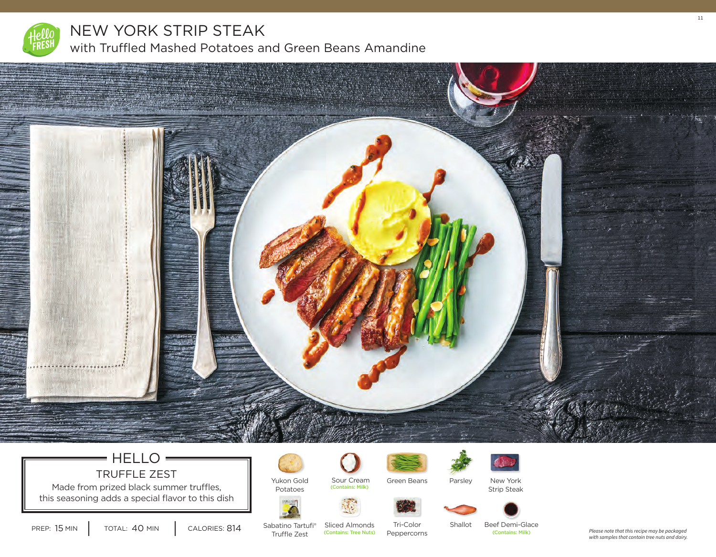

## NEW YORK STRIP STEAK

with Truffled Mashed Potatoes and Green Beans Amandine



### $=$  HELLO  $=$ TRUFFLE ZEST

Made from prized black summer truffles, this seasoning adds a special flavor to this dish



Yukon Gold Potatoes

(Contains: Milk)





Parsley New York



Strip Steak





PREP: 15 MIN | TOTAL: 40 MIN | CALORIES:

Sabatino Tartufi® Truffle Zest 814 (Contains: Tree Nuts) (Contains: Milk)

Sliced Almonds Tri-Color Peppercorns Shallot Beef Demi-Glace<br>
Contains: Milk)

*Please note that this recipe may be packaged with samples that contain tree nuts and dairy.*